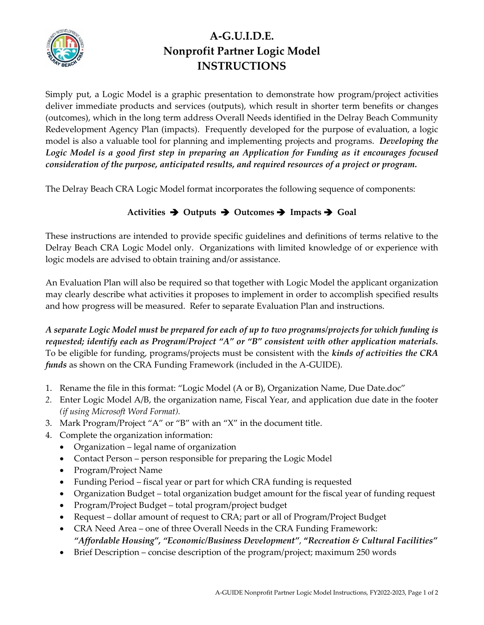

## **A-G.U.I.D.E. Nonprofit Partner Logic Model INSTRUCTIONS**

Simply put, a Logic Model is a graphic presentation to demonstrate how program/project activities deliver immediate products and services (outputs), which result in shorter term benefits or changes (outcomes), which in the long term address Overall Needs identified in the Delray Beach Community Redevelopment Agency Plan (impacts). Frequently developed for the purpose of evaluation, a logic model is also a valuable tool for planning and implementing projects and programs. *Developing the Logic Model is a good first step in preparing an Application for Funding as it encourages focused consideration of the purpose, anticipated results, and required resources of a project or program.* 

The Delray Beach CRA Logic Model format incorporates the following sequence of components:

## **Activities** ➔ **Outputs** ➔ **Outcomes** ➔ **Impacts** ➔ **Goal**

These instructions are intended to provide specific guidelines and definitions of terms relative to the Delray Beach CRA Logic Model only. Organizations with limited knowledge of or experience with logic models are advised to obtain training and/or assistance.

An Evaluation Plan will also be required so that together with Logic Model the applicant organization may clearly describe what activities it proposes to implement in order to accomplish specified results and how progress will be measured. Refer to separate Evaluation Plan and instructions.

*A separate Logic Model must be prepared for each of up to two programs/projects for which funding is requested; identify each as Program/Project "A" or "B" consistent with other application materials.* To be eligible for funding, programs/projects must be consistent with the *kinds of activities the CRA funds* as shown on the CRA Funding Framework (included in the A-GUIDE).

- 1. Rename the file in this format: "Logic Model (A or B), Organization Name, Due Date.doc"
- *2.* Enter Logic Model A/B, the organization name, Fiscal Year, and application due date in the footer *(if using Microsoft Word Format).*
- 3. Mark Program/Project "A" or "B" with an "X" in the document title.
- 4. Complete the organization information:
	- Organization legal name of organization
	- Contact Person person responsible for preparing the Logic Model
	- Program/Project Name
	- Funding Period fiscal year or part for which CRA funding is requested
	- Organization Budget total organization budget amount for the fiscal year of funding request
	- Program/Project Budget total program/project budget
	- Request dollar amount of request to CRA; part or all of Program/Project Budget
	- CRA Need Area one of three Overall Needs in the CRA Funding Framework: *"Affordable Housing", "Economic/Business Development"*, **"***Recreation & Cultural Facilities"*
	- Brief Description concise description of the program/project; maximum 250 words